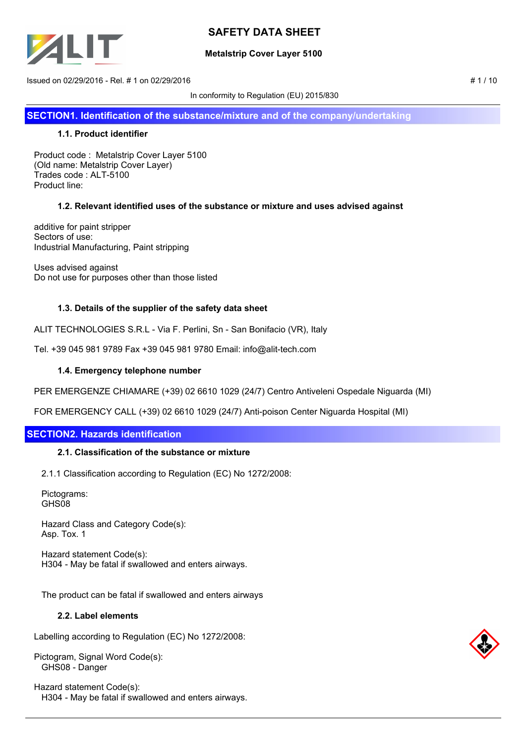

## **Metalstrip Cover Layer 5100**

 $\frac{1}{1}$  1/10 sued on 02/29/2016 - Rel. # 1 on 02/29/2016

In conformity to Regulation (EU) 2015/830

**SECTION1. Identification of the substance/mixture and of the company/undertaking**

## **1.1. Product identifier**

Product code : Metalstrip Cover Layer 5100 (Old name: Metalstrip Cover Layer) Trades code : ALT-5100 Product line:

## **1.2. Relevant identified uses of the substance or mixture and uses advised against**

additive for paint stripper Sectors of use: Industrial Manufacturing, Paint stripping

Uses advised against Do not use for purposes other than those listed

## **1.3. Details of the supplier of the safety data sheet**

ALIT TECHNOLOGIES S.R.L - Via F. Perlini, Sn - San Bonifacio (VR), Italy

Tel. +39 045 981 9789 Fax +39 045 981 9780 Email: info@alit-tech.com

### **1.4. Emergency telephone number**

PER EMERGENZE CHIAMARE (+39) 02 6610 1029 (24/7) Centro Antiveleni Ospedale Niguarda (MI)

FOR EMERGENCY CALL (+39) 02 6610 1029 (24/7) Anti-poison Center Niguarda Hospital (MI)

# **SECTION2. Hazards identification**

### **2.1. Classification of the substance or mixture**

2.1.1 Classification according to Regulation (EC) No 1272/2008:

 Pictograms: GHS08

 Hazard Class and Category Code(s): Asp. Tox. 1

 Hazard statement Code(s): H304 - May be fatal if swallowed and enters airways.

The product can be fatal if swallowed and enters airways

### **2.2. Label elements**

Labelling according to Regulation (EC) No 1272/2008:

Pictogram, Signal Word Code(s): GHS08 - Danger

Hazard statement Code(s): H304 - May be fatal if swallowed and enters airways.

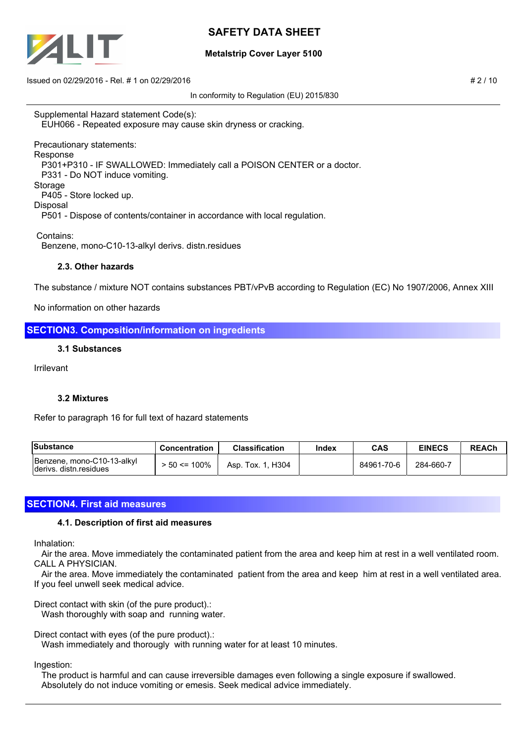

## **Metalstrip Cover Layer 5100**

 $\mu$  Issued on 02/29/2016 - Rel. # 1 on 02/29/2016

In conformity to Regulation (EU) 2015/830

Supplemental Hazard statement Code(s): EUH066 - Repeated exposure may cause skin dryness or cracking.

Precautionary statements: Response P301+P310 - IF SWALLOWED: Immediately call a POISON CENTER or a doctor. P331 - Do NOT induce vomiting. Storage P405 - Store locked up. Disposal P501 - Dispose of contents/container in accordance with local regulation.

Contains:

Benzene, mono-C10-13-alkyl derivs. distn.residues

# **2.3. Other hazards**

The substance / mixture NOT contains substances PBT/vPvB according to Regulation (EC) No 1907/2006, Annex XIII

No information on other hazards

# **SECTION3. Composition/information on ingredients**

### **3.1 Substances**

Irrilevant

### **3.2 Mixtures**

Refer to paragraph 16 for full text of hazard statements

| Substance                                             | <b>Concentration</b> | <b>Classification</b> | Index | CAS        | <b>EINECS</b> | <b>REACh</b> |
|-------------------------------------------------------|----------------------|-----------------------|-------|------------|---------------|--------------|
| Benzene, mono-C10-13-alkyl<br>Iderivs, distn.residues | $> 50 \le 100\%$     | Asp. Tox. 1, H304     |       | 84961-70-6 | 284-660-7     |              |

# **SECTION4. First aid measures**

### **4.1. Description of first aid measures**

Inhalation:

 Air the area. Move immediately the contaminated patient from the area and keep him at rest in a well ventilated room. CALL A PHYSICIAN.

 Air the area. Move immediately the contaminated patient from the area and keep him at rest in a well ventilated area. If you feel unwell seek medical advice.

Direct contact with skin (of the pure product).:

Wash thoroughly with soap and running water.

Direct contact with eyes (of the pure product).:

Wash immediately and thorougly with running water for at least 10 minutes.

### Ingestion:

 The product is harmful and can cause irreversible damages even following a single exposure if swallowed. Absolutely do not induce vomiting or emesis. Seek medical advice immediately.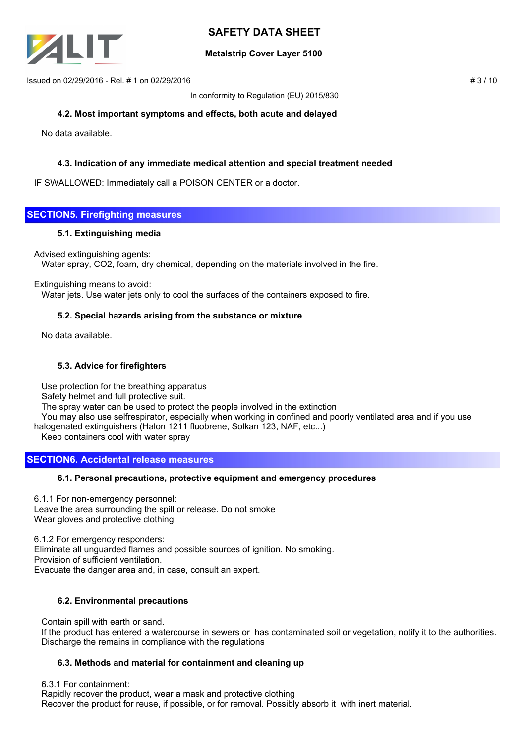

## **Metalstrip Cover Layer 5100**

 $\mu$  Issued on 02/29/2016 - Rel. # 1 on 02/29/2016

In conformity to Regulation (EU) 2015/830

### **4.2. Most important symptoms and effects, both acute and delayed**

No data available.

# **4.3. Indication of any immediate medical attention and special treatment needed**

IF SWALLOWED: Immediately call a POISON CENTER or a doctor.

# **SECTION5. Firefighting measures**

### **5.1. Extinguishing media**

Advised extinguishing agents:

Water spray, CO2, foam, dry chemical, depending on the materials involved in the fire.

### Extinguishing means to avoid:

Water jets. Use water jets only to cool the surfaces of the containers exposed to fire.

### **5.2. Special hazards arising from the substance or mixture**

No data available.

## **5.3. Advice for firefighters**

 Use protection for the breathing apparatus Safety helmet and full protective suit. The spray water can be used to protect the people involved in the extinction You may also use selfrespirator, especially when working in confined and poorly ventilated area and if you use halogenated extinguishers (Halon 1211 fluobrene, Solkan 123, NAF, etc...) Keep containers cool with water spray

# **SECTION6. Accidental release measures**

### **6.1. Personal precautions, protective equipment and emergency procedures**

6.1.1 For non-emergency personnel: Leave the area surrounding the spill or release. Do not smoke Wear gloves and protective clothing

6.1.2 For emergency responders: Eliminate all unguarded flames and possible sources of ignition. No smoking. Provision of sufficient ventilation. Evacuate the danger area and, in case, consult an expert.

## **6.2. Environmental precautions**

Contain spill with earth or sand.

 If the product has entered a watercourse in sewers or has contaminated soil or vegetation, notify it to the authorities. Discharge the remains in compliance with the regulations

## **6.3. Methods and material for containment and cleaning up**

6.3.1 For containment:

 Rapidly recover the product, wear a mask and protective clothing Recover the product for reuse, if possible, or for removal. Possibly absorb it with inert material.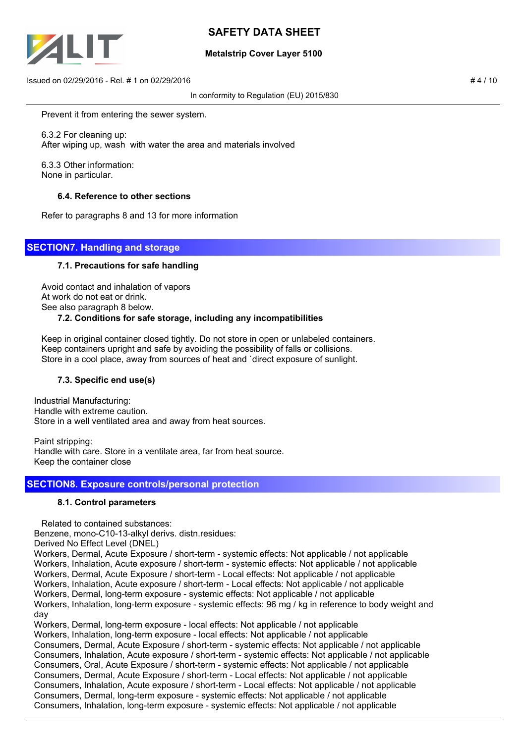

# **Metalstrip Cover Layer 5100**

 $\frac{1}{4}$  Issued on 02/29/2016 - Rel. # 1 on 02/29/2016

In conformity to Regulation (EU) 2015/830

Prevent it from entering the sewer system.

 6.3.2 For cleaning up: After wiping up, wash with water the area and materials involved

 6.3.3 Other information: None in particular.

### **6.4. Reference to other sections**

Refer to paragraphs 8 and 13 for more information

# **SECTION7. Handling and storage**

### **7.1. Precautions for safe handling**

 Avoid contact and inhalation of vapors At work do not eat or drink. See also paragraph 8 below. **7.2. Conditions for safe storage, including any incompatibilities**

 Keep in original container closed tightly. Do not store in open or unlabeled containers. Keep containers upright and safe by avoiding the possibility of falls or collisions. Store in a cool place, away from sources of heat and `direct exposure of sunlight.

## **7.3. Specific end use(s)**

Industrial Manufacturing: Handle with extreme caution. Store in a well ventilated area and away from heat sources.

Paint stripping: Handle with care. Store in a ventilate area, far from heat source. Keep the container close

## **SECTION8. Exposure controls/personal protection**

### **8.1. Control parameters**

Related to contained substances:

Benzene, mono-C10-13-alkyl derivs. distn.residues:

Derived No Effect Level (DNEL)

Workers, Dermal, Acute Exposure / short-term - systemic effects: Not applicable / not applicable Workers, Inhalation, Acute exposure / short-term - systemic effects: Not applicable / not applicable Workers, Dermal, Acute Exposure / short-term - Local effects: Not applicable / not applicable

Workers, Inhalation, Acute exposure / short-term - Local effects: Not applicable / not applicable

Workers, Dermal, long-term exposure - systemic effects: Not applicable / not applicable

Workers, Inhalation, long-term exposure - systemic effects: 96 mg / kg in reference to body weight and day

Workers, Dermal, long-term exposure - local effects: Not applicable / not applicable Workers, Inhalation, long-term exposure - local effects: Not applicable / not applicable Consumers, Dermal, Acute Exposure / short-term - systemic effects: Not applicable / not applicable Consumers, Inhalation, Acute exposure / short-term - systemic effects: Not applicable / not applicable Consumers, Oral, Acute Exposure / short-term - systemic effects: Not applicable / not applicable Consumers, Dermal, Acute Exposure / short-term - Local effects: Not applicable / not applicable Consumers, Inhalation, Acute exposure / short-term - Local effects: Not applicable / not applicable Consumers, Dermal, long-term exposure - systemic effects: Not applicable / not applicable Consumers, Inhalation, long-term exposure - systemic effects: Not applicable / not applicable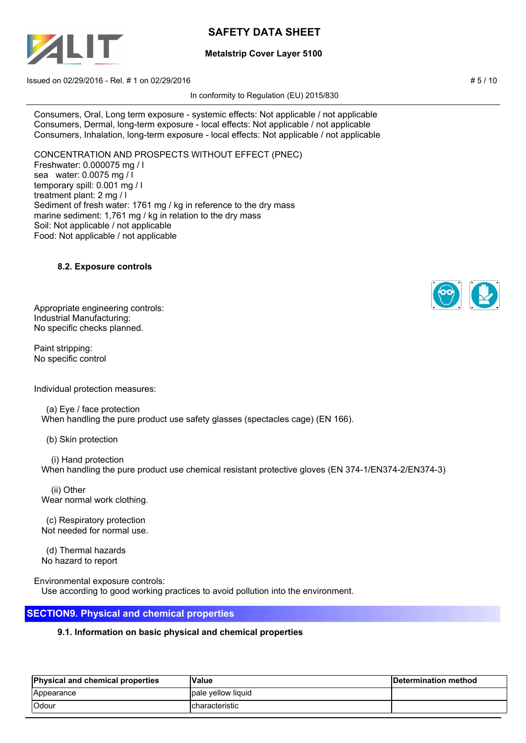

# **Metalstrip Cover Layer 5100**

 $\mu$  Issued on 02/29/2016 - Rel. # 1 on 02/29/2016

In conformity to Regulation (EU) 2015/830

Consumers, Oral, Long term exposure - systemic effects: Not applicable / not applicable Consumers, Dermal, long-term exposure - local effects: Not applicable / not applicable Consumers, Inhalation, long-term exposure - local effects: Not applicable / not applicable

CONCENTRATION AND PROSPECTS WITHOUT EFFECT (PNEC) Freshwater: 0.000075 mg / l sea water: 0.0075 mg / l temporary spill: 0.001 mg / l treatment plant: 2 mg / l Sediment of fresh water: 1761 mg / kg in reference to the dry mass marine sediment: 1,761 mg / kg in relation to the dry mass Soil: Not applicable / not applicable Food: Not applicable / not applicable

## **8.2. Exposure controls**

Appropriate engineering controls: Industrial Manufacturing: No specific checks planned.

Paint stripping: No specific control

Individual protection measures:

 (a) Eye / face protection When handling the pure product use safety glasses (spectacles cage) (EN 166).

(b) Skin protection

 (i) Hand protection When handling the pure product use chemical resistant protective gloves (EN 374-1/EN374-2/EN374-3)

 (ii) Other Wear normal work clothing.

 (c) Respiratory protection Not needed for normal use.

 (d) Thermal hazards No hazard to report

Environmental exposure controls: Use according to good working practices to avoid pollution into the environment.

# **SECTION9. Physical and chemical properties**

## **9.1. Information on basic physical and chemical properties**

| <b>Physical and chemical properties</b> | Value                         | Determination method |
|-----------------------------------------|-------------------------------|----------------------|
| Appearance                              | Ipale vellow liquid           |                      |
| <b>IOdour</b>                           | <i><b>Icharacteristic</b></i> |                      |

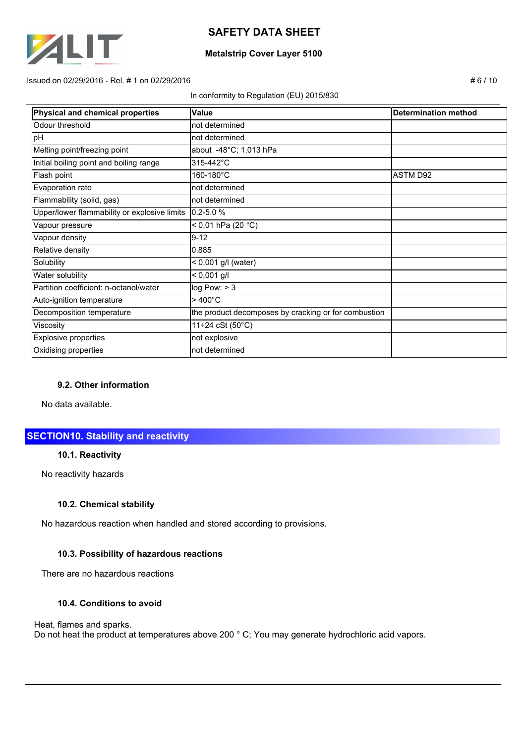

### **Metalstrip Cover Layer 5100**

#### $\pm 6$  / 10  $\pm 6$  / 10  $\pm 6$  / 10  $\pm 6$  / 10  $\pm 6$  / 10  $\pm 6$  / 10  $\pm 6$  / 10  $\pm 6$  / 10  $\pm 6$  / 10  $\pm 6$  / 10  $\pm 6$  / 10  $\pm 6$  / 10  $\pm 6$  / 10  $\pm 6$  / 10  $\pm 6$  / 10  $\pm 6$  / 10  $\pm 6$  / 10  $\pm 6$  / 10  $\pm 6$

#### In conformity to Regulation (EU) 2015/830

| Physical and chemical properties             | Value                                                | <b>Determination method</b> |
|----------------------------------------------|------------------------------------------------------|-----------------------------|
| Odour threshold                              | not determined                                       |                             |
| pH                                           | not determined                                       |                             |
| Melting point/freezing point                 | about -48°C; 1.013 hPa                               |                             |
| Initial boiling point and boiling range      | 315-442°C                                            |                             |
| Flash point                                  | 160-180°C                                            | <b>ASTM D92</b>             |
| Evaporation rate                             | not determined                                       |                             |
| Flammability (solid, gas)                    | not determined                                       |                             |
| Upper/lower flammability or explosive limits | $0.2 - 5.0 %$                                        |                             |
| Vapour pressure                              | < 0,01 hPa (20 $^{\circ}$ C)                         |                             |
| Vapour density                               | $9 - 12$                                             |                             |
| Relative density                             | 0.885                                                |                             |
| Solubility                                   | $< 0,001$ g/l (water)                                |                             |
| Water solubility                             | $< 0,001$ g/l                                        |                             |
| Partition coefficient: n-octanol/water       | log Pow: > 3                                         |                             |
| Auto-ignition temperature                    | $>400^{\circ}$ C                                     |                             |
| Decomposition temperature                    | the product decomposes by cracking or for combustion |                             |
| Viscosity                                    | $11 \div 24 \cSt (50^{\circ}C)$                      |                             |
| <b>Explosive properties</b>                  | not explosive                                        |                             |
| Oxidising properties                         | not determined                                       |                             |

### **9.2. Other information**

No data available.

# **SECTION10. Stability and reactivity**

## **10.1. Reactivity**

No reactivity hazards

### **10.2. Chemical stability**

No hazardous reaction when handled and stored according to provisions.

# **10.3. Possibility of hazardous reactions**

There are no hazardous reactions

# **10.4. Conditions to avoid**

### Heat, flames and sparks.

Do not heat the product at temperatures above 200 ° C; You may generate hydrochloric acid vapors.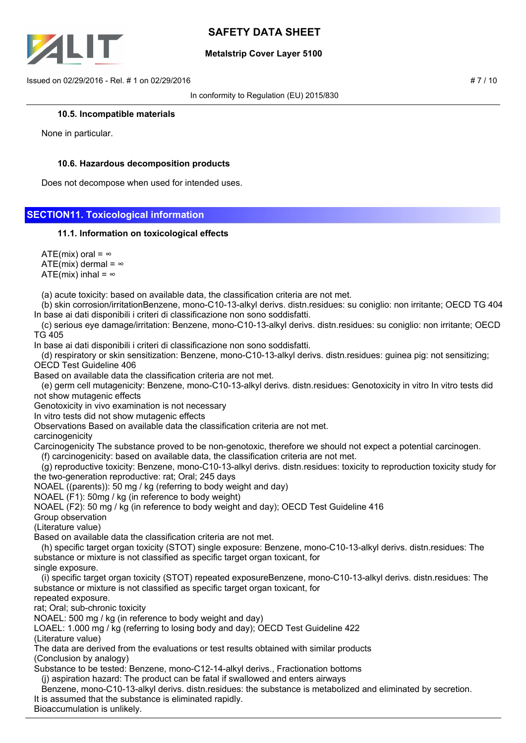

## **Metalstrip Cover Layer 5100**

 $\mu$  Issued on 02/29/2016 - Rel. # 1 on 02/29/2016

In conformity to Regulation (EU) 2015/830

### **10.5. Incompatible materials**

None in particular.

## **10.6. Hazardous decomposition products**

Does not decompose when used for intended uses.

## **SECTION11. Toxicological information**

### **11.1. Information on toxicological effects**

ATE(mix) oral =  $\infty$ ATE(mix) dermal =  $\infty$ ATE(mix) inhal =  $\infty$ 

(a) acute toxicity: based on available data, the classification criteria are not met.

 (b) skin corrosion/irritationBenzene, mono-C10-13-alkyl derivs. distn.residues: su coniglio: non irritante; OECD TG 404 In base ai dati disponibili i criteri di classificazione non sono soddisfatti.

 (c) serious eye damage/irritation: Benzene, mono-C10-13-alkyl derivs. distn.residues: su coniglio: non irritante; OECD TG 405

In base ai dati disponibili i criteri di classificazione non sono soddisfatti.

 (d) respiratory or skin sensitization: Benzene, mono-C10-13-alkyl derivs. distn.residues: guinea pig: not sensitizing; OECD Test Guideline 406

Based on available data the classification criteria are not met.

 (e) germ cell mutagenicity: Benzene, mono-C10-13-alkyl derivs. distn.residues: Genotoxicity in vitro In vitro tests did not show mutagenic effects

Genotoxicity in vivo examination is not necessary

In vitro tests did not show mutagenic effects

Observations Based on available data the classification criteria are not met.

### carcinogenicity

Carcinogenicity The substance proved to be non-genotoxic, therefore we should not expect a potential carcinogen.

(f) carcinogenicity: based on available data, the classification criteria are not met.

 (g) reproductive toxicity: Benzene, mono-C10-13-alkyl derivs. distn.residues: toxicity to reproduction toxicity study for the two-generation reproductive: rat; Oral; 245 days

NOAEL ((parents)): 50 mg / kg (referring to body weight and day)

NOAEL (F1): 50mg / kg (in reference to body weight)

NOAEL (F2): 50 mg / kg (in reference to body weight and day); OECD Test Guideline 416

Group observation

(Literature value)

Based on available data the classification criteria are not met.

 (h) specific target organ toxicity (STOT) single exposure: Benzene, mono-C10-13-alkyl derivs. distn.residues: The substance or mixture is not classified as specific target organ toxicant, for

single exposure.

 (i) specific target organ toxicity (STOT) repeated exposureBenzene, mono-C10-13-alkyl derivs. distn.residues: The substance or mixture is not classified as specific target organ toxicant, for

repeated exposure. rat; Oral; sub-chronic toxicity

NOAEL: 500 mg / kg (in reference to body weight and day)

LOAEL: 1.000 mg / kg (referring to losing body and day); OECD Test Guideline 422

(Literature value)

The data are derived from the evaluations or test results obtained with similar products (Conclusion by analogy)

Substance to be tested: Benzene, mono-C12-14-alkyl derivs., Fractionation bottoms

(j) aspiration hazard: The product can be fatal if swallowed and enters airways

Benzene, mono-C10-13-alkyl derivs. distn.residues: the substance is metabolized and eliminated by secretion.

It is assumed that the substance is eliminated rapidly.

Bioaccumulation is unlikely.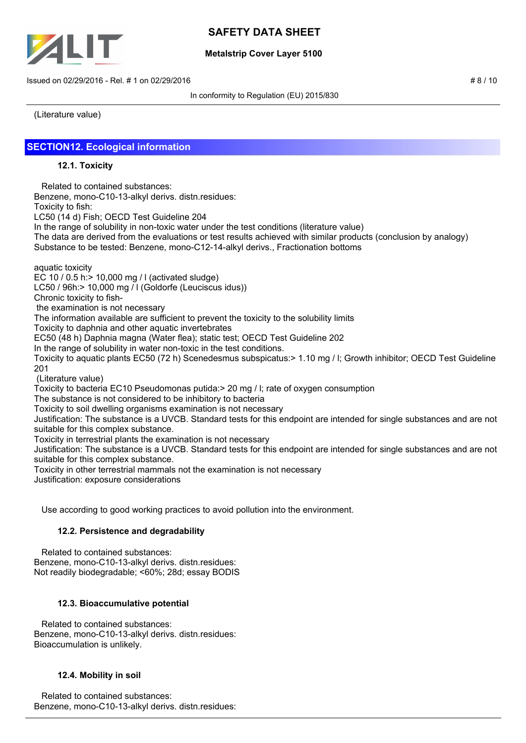

## **Metalstrip Cover Layer 5100**

 $\mu$  Issued on 02/29/2016 - Rel. # 1 on 02/29/2016

In conformity to Regulation (EU) 2015/830

(Literature value)

# **SECTION12. Ecological information**

### **12.1. Toxicity**

 Related to contained substances: Benzene, mono-C10-13-alkyl derivs. distn.residues: Toxicity to fish: LC50 (14 d) Fish; OECD Test Guideline 204 In the range of solubility in non-toxic water under the test conditions (literature value) The data are derived from the evaluations or test results achieved with similar products (conclusion by analogy) Substance to be tested: Benzene, mono-C12-14-alkyl derivs., Fractionation bottoms

aquatic toxicity

EC 10 / 0.5 h:> 10,000 mg / l (activated sludge)

LC50 / 96h:> 10,000 mg / l (Goldorfe (Leuciscus idus))

Chronic toxicity to fish-

the examination is not necessary

The information available are sufficient to prevent the toxicity to the solubility limits

Toxicity to daphnia and other aquatic invertebrates

EC50 (48 h) Daphnia magna (Water flea); static test; OECD Test Guideline 202

In the range of solubility in water non-toxic in the test conditions.

Toxicity to aquatic plants EC50 (72 h) Scenedesmus subspicatus:> 1.10 mg / l; Growth inhibitor; OECD Test Guideline 201

(Literature value)

Toxicity to bacteria EC10 Pseudomonas putida:> 20 mg / l; rate of oxygen consumption

The substance is not considered to be inhibitory to bacteria

Toxicity to soil dwelling organisms examination is not necessary

Justification: The substance is a UVCB. Standard tests for this endpoint are intended for single substances and are not suitable for this complex substance.

Toxicity in terrestrial plants the examination is not necessary

Justification: The substance is a UVCB. Standard tests for this endpoint are intended for single substances and are not suitable for this complex substance.

Toxicity in other terrestrial mammals not the examination is not necessary

Justification: exposure considerations

Use according to good working practices to avoid pollution into the environment.

## **12.2. Persistence and degradability**

 Related to contained substances: Benzene, mono-C10-13-alkyl derivs. distn.residues: Not readily biodegradable; <60%; 28d; essay BODIS

## **12.3. Bioaccumulative potential**

 Related to contained substances: Benzene, mono-C10-13-alkyl derivs. distn.residues: Bioaccumulation is unlikely.

## **12.4. Mobility in soil**

 Related to contained substances: Benzene, mono-C10-13-alkyl derivs. distn.residues: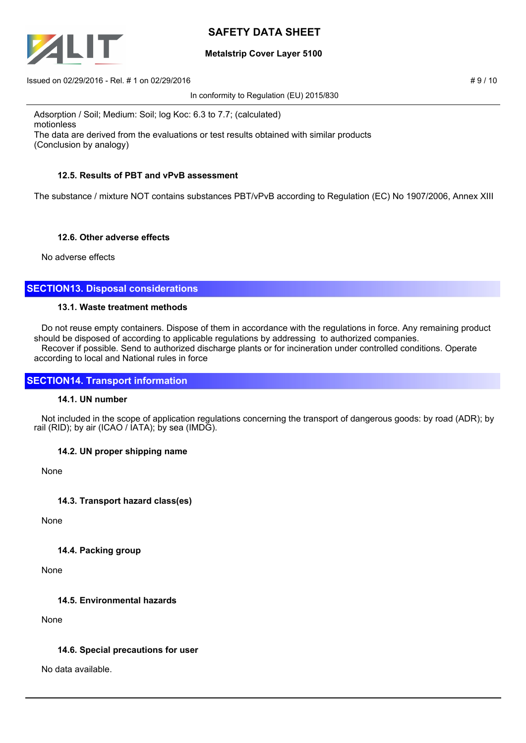

## **Metalstrip Cover Layer 5100**

 $\mu$  Issued on 02/29/2016 - Rel. # 1 on 02/29/2016

In conformity to Regulation (EU) 2015/830

Adsorption / Soil; Medium: Soil; log Koc: 6.3 to 7.7; (calculated) motionless The data are derived from the evaluations or test results obtained with similar products (Conclusion by analogy)

# **12.5. Results of PBT and vPvB assessment**

The substance / mixture NOT contains substances PBT/vPvB according to Regulation (EC) No 1907/2006, Annex XIII

## **12.6. Other adverse effects**

No adverse effects

# **SECTION13. Disposal considerations**

### **13.1. Waste treatment methods**

 Do not reuse empty containers. Dispose of them in accordance with the regulations in force. Any remaining product should be disposed of according to applicable regulations by addressing to authorized companies. Recover if possible. Send to authorized discharge plants or for incineration under controlled conditions. Operate according to local and National rules in force

# **SECTION14. Transport information**

## **14.1. UN number**

 Not included in the scope of application regulations concerning the transport of dangerous goods: by road (ADR); by rail (RID); by air (ICAO / IATA); by sea (IMDG).

## **14.2. UN proper shipping name**

None

# **14.3. Transport hazard class(es)**

None

## **14.4. Packing group**

None

## **14.5. Environmental hazards**

None

## **14.6. Special precautions for user**

No data available.